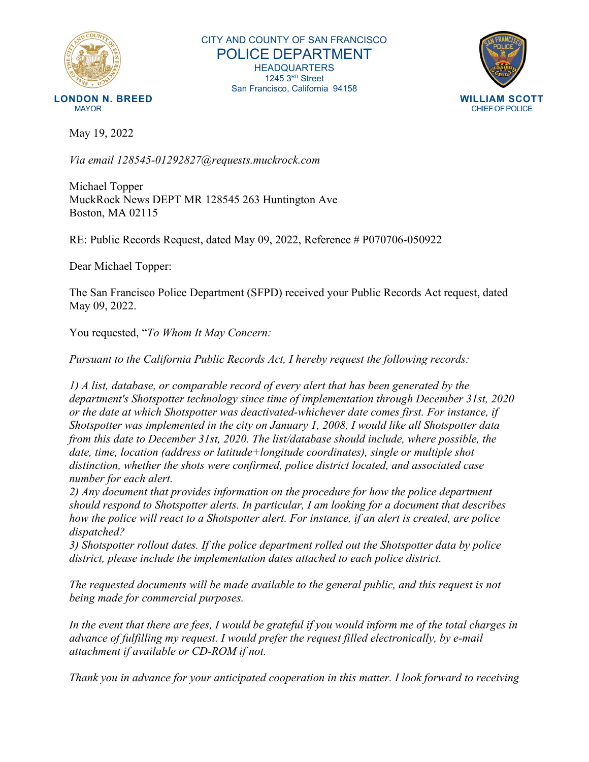

CITY AND COUNTY OF SAN FRANCISCO POLICE DEPARTMENT HEADQUARTERS 1245 3RD Street San Francisco, California 94158



May 19, 2022

*Via email 128545-01292827@requests.muckrock.com*

Michael Topper MuckRock News DEPT MR 128545 263 Huntington Ave Boston, MA 02115

RE: Public Records Request, dated May 09, 2022, Reference # P070706-050922

Dear Michael Topper:

The San Francisco Police Department (SFPD) received your Public Records Act request, dated May 09, 2022.

You requested, "*To Whom It May Concern:*

*Pursuant to the California Public Records Act, I hereby request the following records:*

*1) A list, database, or comparable record of every alert that has been generated by the department's Shotspotter technology since time of implementation through December 31st, 2020 or the date at which Shotspotter was deactivated-whichever date comes first. For instance, if Shotspotter was implemented in the city on January 1, 2008, I would like all Shotspotter data from this date to December 31st, 2020. The list/database should include, where possible, the date, time, location (address or latitude+longitude coordinates), single or multiple shot distinction, whether the shots were confirmed, police district located, and associated case number for each alert.*

*2) Any document that provides information on the procedure for how the police department should respond to Shotspotter alerts. In particular, I am looking for a document that describes how the police will react to a Shotspotter alert. For instance, if an alert is created, are police dispatched?*

*3) Shotspotter rollout dates. If the police department rolled out the Shotspotter data by police district, please include the implementation dates attached to each police district.*

*The requested documents will be made available to the general public, and this request is not being made for commercial purposes.*

*In the event that there are fees, I would be grateful if you would inform me of the total charges in advance of fulfilling my request. I would prefer the request filled electronically, by e-mail attachment if available or CD-ROM if not.*

*Thank you in advance for your anticipated cooperation in this matter. I look forward to receiving*